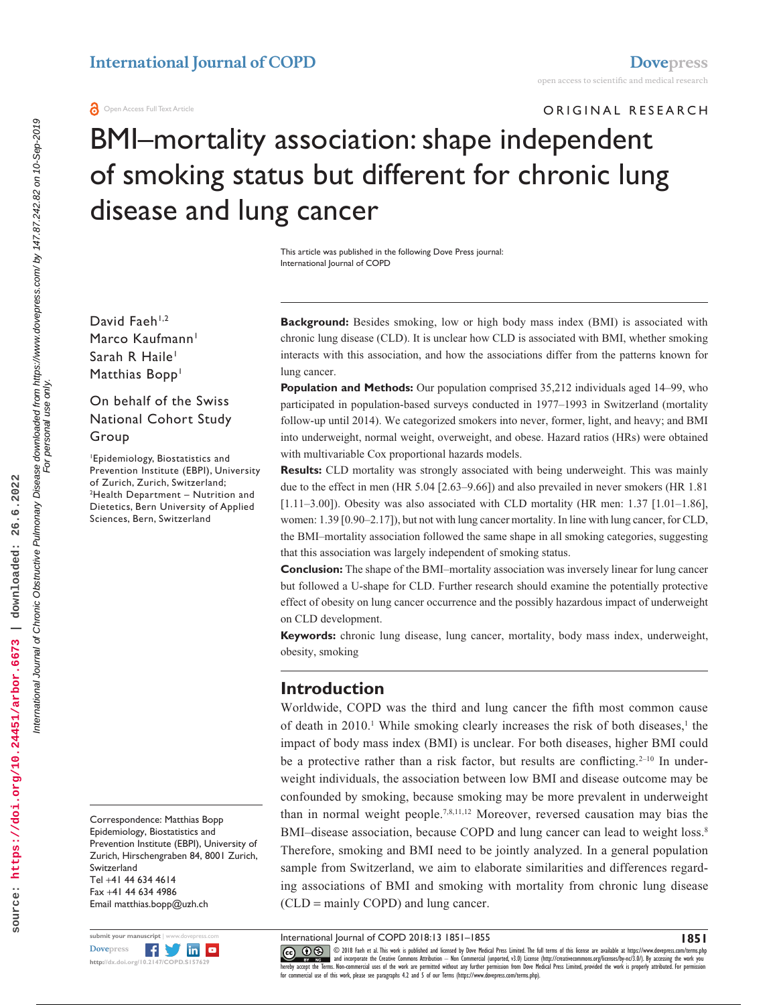ORIGINAL RESEARCH

# BMI–mortality association: shape independent of smoking status but different for chronic lung disease and lung cancer

This article was published in the following Dove Press journal: International Journal of COPD

David Faeh $1,2$ Marco Kaufmann<sup>1</sup> Sarah R Haile<sup>1</sup> Matthias Bopp<sup>1</sup>

#### On behalf of the Swiss National Cohort Study Group

1 Epidemiology, Biostatistics and Prevention Institute (EBPI), University of Zurich, Zurich, Switzerland; 2 <sup>2</sup>Health Department - Nutrition and Dietetics, Bern University of Applied Sciences, Bern, Switzerland

Correspondence: Matthias Bopp Epidemiology, Biostatistics and Prevention Institute (EBPI), University of Zurich, Hirschengraben 84, 8001 Zurich, Switzerland Tel +41 44 634 4614 Fax +41 44 634 4986 Email [matthias.bopp@uzh.ch](mailto:matthias.bopp@uzh.ch)

**Background:** Besides smoking, low or high body mass index (BMI) is associated with chronic lung disease (CLD). It is unclear how CLD is associated with BMI, whether smoking interacts with this association, and how the associations differ from the patterns known for lung cancer.

**Population and Methods:** Our population comprised 35,212 individuals aged 14–99, who participated in population-based surveys conducted in 1977–1993 in Switzerland (mortality follow-up until 2014). We categorized smokers into never, former, light, and heavy; and BMI into underweight, normal weight, overweight, and obese. Hazard ratios (HRs) were obtained with multivariable Cox proportional hazards models.

**Results:** CLD mortality was strongly associated with being underweight. This was mainly due to the effect in men (HR 5.04 [2.63–9.66]) and also prevailed in never smokers (HR 1.81 [1.11–3.00]). Obesity was also associated with CLD mortality (HR men: 1.37  $[1.01-1.86]$ , women: 1.39 [0.90–2.17]), but not with lung cancer mortality. In line with lung cancer, for CLD, the BMI–mortality association followed the same shape in all smoking categories, suggesting that this association was largely independent of smoking status.

**Conclusion:** The shape of the BMI–mortality association was inversely linear for lung cancer but followed a U-shape for CLD. Further research should examine the potentially protective effect of obesity on lung cancer occurrence and the possibly hazardous impact of underweight on CLD development.

**Keywords:** chronic lung disease, lung cancer, mortality, body mass index, underweight, obesity, smoking

#### **Introduction**

Worldwide, COPD was the third and lung cancer the fifth most common cause of death in  $2010$ .<sup>1</sup> While smoking clearly increases the risk of both diseases,<sup>1</sup> the impact of body mass index (BMI) is unclear. For both diseases, higher BMI could be a protective rather than a risk factor, but results are conflicting.<sup>2-10</sup> In underweight individuals, the association between low BMI and disease outcome may be confounded by smoking, because smoking may be more prevalent in underweight than in normal weight people.7,8,11,12 Moreover, reversed causation may bias the BMI–disease association, because COPD and lung cancer can lead to weight loss.<sup>8</sup> Therefore, smoking and BMI need to be jointly analyzed. In a general population sample from Switzerland, we aim to elaborate similarities and differences regarding associations of BMI and smoking with mortality from chronic lung disease (CLD = mainly COPD) and lung cancer.

International Journal of COPD 2018:13 1851–1855

**1851**

submit your manuscript **Fy** in a **[Dovepress](www.dovepress.com) <http://dx.doi.org/10.2147/COPD.S157629>**

CCC 1 © 2018 Fach et al. This work is published and licensed by Dove Medical Press Limited. The full terms of this license are available at <https://www.dovepress.com/terms.php><br>[hereby accept the Terms](http://www.dovepress.com/permissions.php). Non-commercial uses o

source:

For personal use only.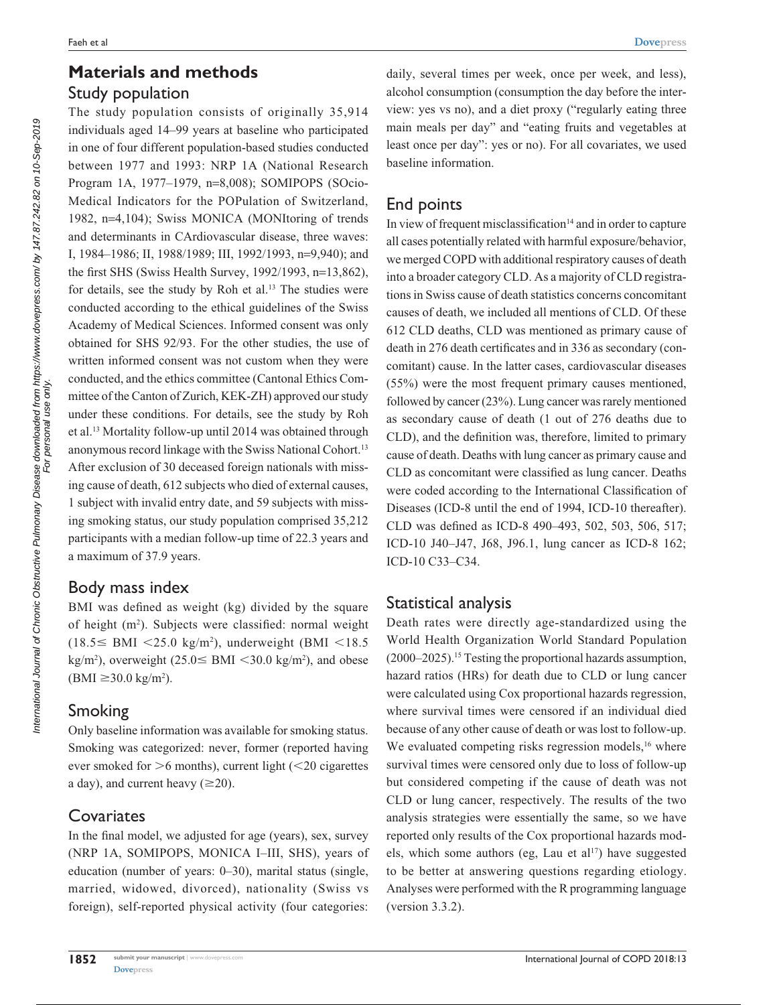# **Materials and methods** Study population

The study population consists of originally 35,914 individuals aged 14–99 years at baseline who participated in one of four different population-based studies conducted between 1977 and 1993: NRP 1A (National Research Program 1A, 1977–1979, n=8,008); SOMIPOPS (SOcio-Medical Indicators for the POPulation of Switzerland, 1982, n=4,104); Swiss MONICA (MONItoring of trends and determinants in CArdiovascular disease, three waves: I, 1984–1986; II, 1988/1989; III, 1992/1993, n=9,940); and the first SHS (Swiss Health Survey, 1992/1993, n=13,862), for details, see the study by Roh et al. $13$  The studies were conducted according to the ethical guidelines of the Swiss Academy of Medical Sciences. Informed consent was only obtained for SHS 92/93. For the other studies, the use of written informed consent was not custom when they were conducted, and the ethics committee (Cantonal Ethics Committee of the Canton of Zurich, KEK-ZH) approved our study under these conditions. For details, see the study by Roh et al.13 Mortality follow-up until 2014 was obtained through anonymous record linkage with the Swiss National Cohort.<sup>13</sup> After exclusion of 30 deceased foreign nationals with missing cause of death, 612 subjects who died of external causes, 1 subject with invalid entry date, and 59 subjects with missing smoking status, our study population comprised 35,212 participants with a median follow-up time of 22.3 years and a maximum of 37.9 years.

#### Body mass index

BMI was defined as weight (kg) divided by the square of height (m<sup>2</sup>). Subjects were classified: normal weight  $(18.5 \leq \text{BMI} \leq 25.0 \text{ kg/m}^2)$ , underweight (BMI <18.5)  $\text{kg/m}^2$ ), overweight (25.0  $\leq$  BMI  $\lt$ 30.0 kg/m<sup>2</sup>), and obese  $(BMI \ge 30.0 \text{ kg/m}^2)$ .

# Smoking

Only baseline information was available for smoking status. Smoking was categorized: never, former (reported having ever smoked for  $>6$  months), current light ( $<$ 20 cigarettes a day), and current heavy  $(\geq 20)$ .

### **Covariates**

In the final model, we adjusted for age (years), sex, survey (NRP 1A, SOMIPOPS, MONICA I–III, SHS), years of education (number of years: 0–30), marital status (single, married, widowed, divorced), nationality (Swiss vs foreign), self-reported physical activity (four categories: daily, several times per week, once per week, and less), alcohol consumption (consumption the day before the interview: yes vs no), and a diet proxy ("regularly eating three main meals per day" and "eating fruits and vegetables at least once per day": yes or no). For all covariates, we used baseline information.

## End points

In view of frequent misclassification $14$  and in order to capture all cases potentially related with harmful exposure/behavior, we merged COPD with additional respiratory causes of death into a broader category CLD. As a majority of CLD registrations in Swiss cause of death statistics concerns concomitant causes of death, we included all mentions of CLD. Of these 612 CLD deaths, CLD was mentioned as primary cause of death in 276 death certificates and in 336 as secondary (concomitant) cause. In the latter cases, cardiovascular diseases (55%) were the most frequent primary causes mentioned, followed by cancer (23%). Lung cancer was rarely mentioned as secondary cause of death (1 out of 276 deaths due to CLD), and the definition was, therefore, limited to primary cause of death. Deaths with lung cancer as primary cause and CLD as concomitant were classified as lung cancer. Deaths were coded according to the International Classification of Diseases (ICD-8 until the end of 1994, ICD-10 thereafter). CLD was defined as ICD-8 490–493, 502, 503, 506, 517; ICD-10 J40–J47, J68, J96.1, lung cancer as ICD-8 162; ICD-10 C33–C34.

### Statistical analysis

Death rates were directly age-standardized using the World Health Organization World Standard Population (2000–2025).15 Testing the proportional hazards assumption, hazard ratios (HRs) for death due to CLD or lung cancer were calculated using Cox proportional hazards regression, where survival times were censored if an individual died because of any other cause of death or was lost to follow-up. We evaluated competing risks regression models,<sup>16</sup> where survival times were censored only due to loss of follow-up but considered competing if the cause of death was not CLD or lung cancer, respectively. The results of the two analysis strategies were essentially the same, so we have reported only results of the Cox proportional hazards models, which some authors (eg, Lau et al<sup>17</sup>) have suggested to be better at answering questions regarding etiology. Analyses were performed with the R programming language (version 3.3.2).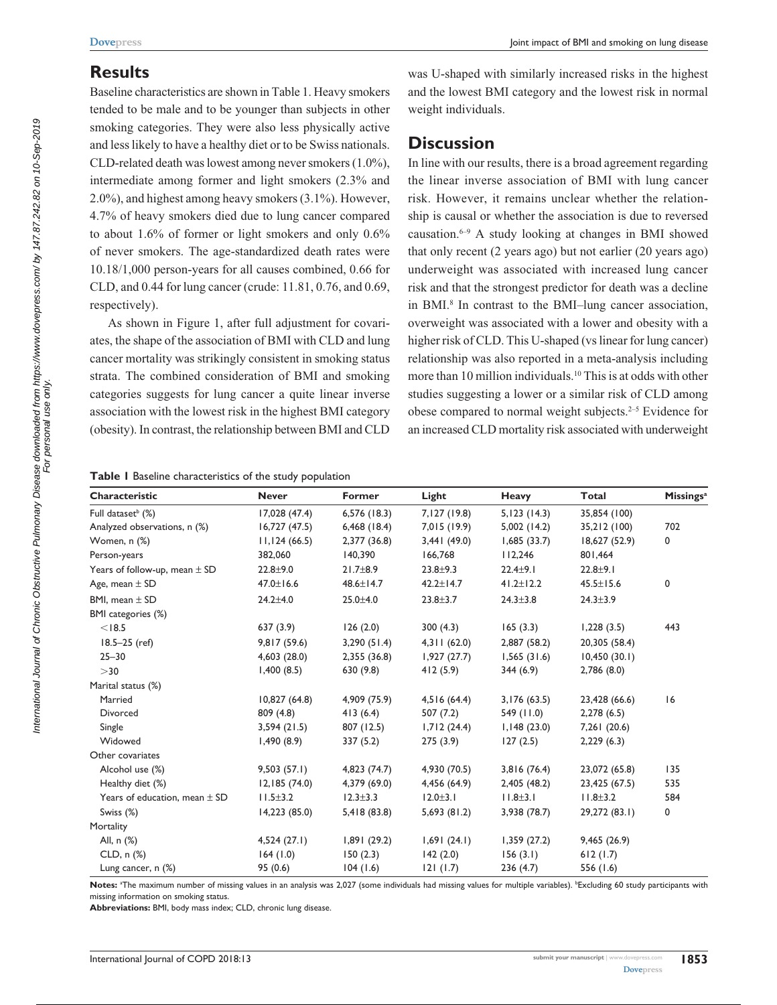### **Results**

Baseline characteristics are shown in Table 1. Heavy smokers tended to be male and to be younger than subjects in other smoking categories. They were also less physically active and less likely to have a healthy diet or to be Swiss nationals. CLD-related death was lowest among never smokers (1.0%), intermediate among former and light smokers (2.3% and 2.0%), and highest among heavy smokers (3.1%). However, 4.7% of heavy smokers died due to lung cancer compared to about 1.6% of former or light smokers and only 0.6% of never smokers. The age-standardized death rates were 10.18/1,000 person-years for all causes combined, 0.66 for CLD, and 0.44 for lung cancer (crude: 11.81, 0.76, and 0.69, respectively).

As shown in Figure 1, after full adjustment for covariates, the shape of the association of BMI with CLD and lung cancer mortality was strikingly consistent in smoking status strata. The combined consideration of BMI and smoking categories suggests for lung cancer a quite linear inverse association with the lowest risk in the highest BMI category (obesity). In contrast, the relationship between BMI and CLD

was U-shaped with similarly increased risks in the highest and the lowest BMI category and the lowest risk in normal weight individuals.

# **Discussion**

In line with our results, there is a broad agreement regarding the linear inverse association of BMI with lung cancer risk. However, it remains unclear whether the relationship is causal or whether the association is due to reversed causation. $6-9$  A study looking at changes in BMI showed that only recent (2 years ago) but not earlier (20 years ago) underweight was associated with increased lung cancer risk and that the strongest predictor for death was a decline in BMI.<sup>8</sup> In contrast to the BMI-lung cancer association, overweight was associated with a lower and obesity with a higher risk of CLD. This U-shaped (vs linear for lung cancer) relationship was also reported in a meta-analysis including more than 10 million individuals.10 This is at odds with other studies suggesting a lower or a similar risk of CLD among obese compared to normal weight subjects.<sup>2-5</sup> Evidence for an increased CLD mortality risk associated with underweight

#### **Table 1** Baseline characteristics of the study population

| Characteristic                    | <b>Never</b>    | Former          | Light           | Heavy           | Total           | <b>Missings</b> <sup>a</sup> |
|-----------------------------------|-----------------|-----------------|-----------------|-----------------|-----------------|------------------------------|
| Full dataset <sup>b</sup> (%)     | 17,028 (47.4)   | $6,576$ (18.3)  | 7,127 (19.8)    | 5,123(14.3)     | 35,854 (100)    |                              |
| Analyzed observations, n (%)      | 16,727(47.5)    | $6,468$ (18.4)  | 7,015 (19.9)    | 5,002(14.2)     | 35,212 (100)    | 702                          |
| Women, n (%)                      | 11,124(66.5)    | 2,377 (36.8)    | 3,441(49.0)     | 1,685(33.7)     | 18,627 (52.9)   | 0                            |
| Person-years                      | 382,060         | 140,390         | 166,768         | 112,246         | 801,464         |                              |
| Years of follow-up, mean $\pm$ SD | $22.8 + 9.0$    | $21.7 + 8.9$    | $23.8 + 9.3$    | $22.4 + 9.1$    | $22.8 + 9.1$    |                              |
| Age, mean $\pm$ SD                | $47.0 \pm 16.6$ | $48.6 \pm 14.7$ | $42.2 \pm 14.7$ | $41.2 \pm 12.2$ | $45.5 \pm 15.6$ | 0                            |
| BMI, mean $\pm$ SD                | $24.2 \pm 4.0$  | $25.0 + 4.0$    | $23.8 \pm 3.7$  | $24.3 \pm 3.8$  | $24.3 \pm 3.9$  |                              |
| BMI categories (%)                |                 |                 |                 |                 |                 |                              |
| < 18.5                            | 637(3.9)        | 126(2.0)        | 300(4.3)        | 165(3.3)        | 1,228(3.5)      | 443                          |
| $18.5 - 25$ (ref)                 | 9,817 (59.6)    | 3,290(51.4)     | 4,311(62.0)     | 2,887 (58.2)    | 20,305 (58.4)   |                              |
| $25 - 30$                         | 4,603 (28.0)    | 2,355 (36.8)    | 1,927(27.7)     | 1,565(31.6)     | 10,450(30.1)    |                              |
| $>$ 30                            | 1,400(8.5)      | 630 (9.8)       | 412(5.9)        | 344(6.9)        | 2,786(8.0)      |                              |
| Marital status (%)                |                 |                 |                 |                 |                 |                              |
| Married                           | 10,827(64.8)    | 4,909 (75.9)    | 4,516(64.4)     | 3,176(63.5)     | 23,428 (66.6)   | 16                           |
| Divorced                          | 809 (4.8)       | 413(6.4)        | 507(7.2)        | 549 (11.0)      | 2,278(6.5)      |                              |
| Single                            | 3,594(21.5)     | 807 (12.5)      | 1,712(24.4)     | 1,148(23.0)     | 7,261 (20.6)    |                              |
| Widowed                           | 1,490(8.9)      | 337 (5.2)       | 275(3.9)        | 127(2.5)        | 2,229(6.3)      |                              |
| Other covariates                  |                 |                 |                 |                 |                 |                              |
| Alcohol use (%)                   | 9,503(57.1)     | 4,823 (74.7)    | 4,930 (70.5)    | 3,816(76.4)     | 23,072 (65.8)   | 135                          |
| Healthy diet (%)                  | 12,185(74.0)    | 4,379 (69.0)    | 4,456 (64.9)    | 2,405 (48.2)    | 23,425 (67.5)   | 535                          |
| Years of education, mean $\pm$ SD | $11.5 \pm 3.2$  | $12.3 \pm 3.3$  | $12.0 \pm 3.1$  | $11.8 + 3.1$    | $11.8 \pm 3.2$  | 584                          |
| Swiss (%)                         | 14,223 (85.0)   | 5,418 (83.8)    | 5,693(81.2)     | 3,938 (78.7)    | 29,272 (83.1)   | 0                            |
| Mortality                         |                 |                 |                 |                 |                 |                              |
| All, n (%)                        | 4,524(27.1)     | 1,891(29.2)     | 1,691(24.1)     | 1,359(27.2)     | 9,465(26.9)     |                              |
| $CLD, n$ $%$                      | 164(1.0)        | 150(2.3)        | 142(2.0)        | 156(3.1)        | 612(1.7)        |                              |
| Lung cancer, n (%)                | 95(0.6)         | 104(1.6)        | 121(1.7)        | 236(4.7)        | 556 (1.6)       |                              |

Notes: <sup>a</sup>The maximum number of missing values in an analysis was 2,027 (some individuals had missing values for multiple variables). <sup>b</sup>Excluding 60 study participants with missing information on smoking status.

**Abbreviations:** BMI, body mass index; CLD, chronic lung disease.

**1853**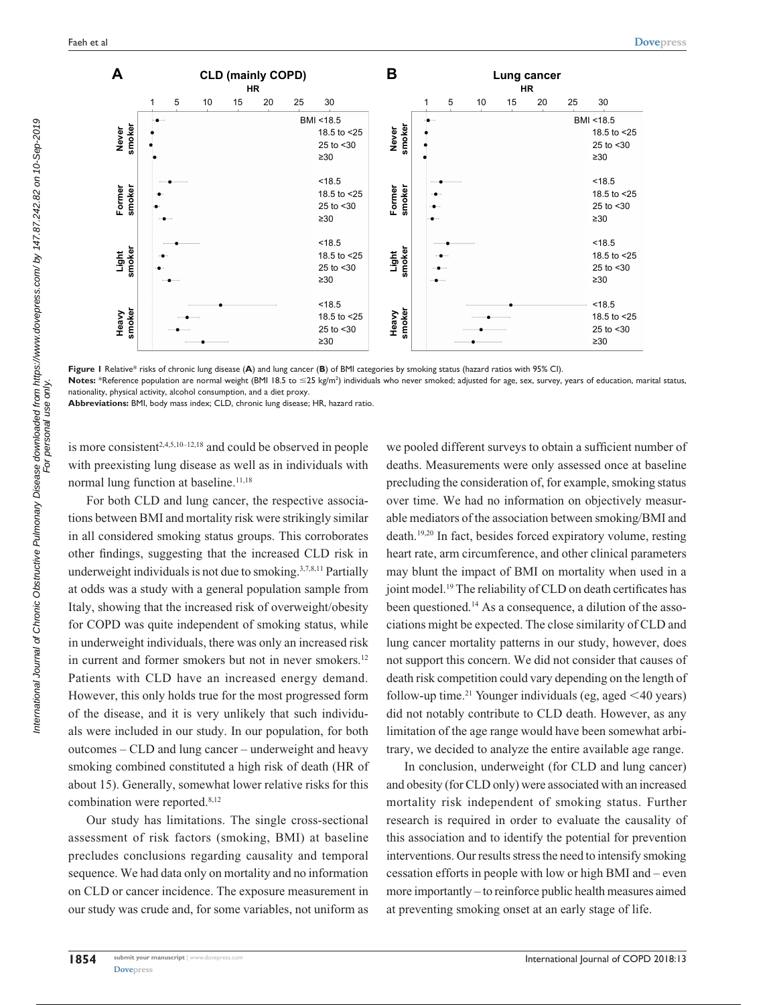

**Figure 1** Relative\* risks of chronic lung disease (**A**) and lung cancer (**B**) of BMI categories by smoking status (hazard ratios with 95% CI).

Notes: \*Reference population are normal weight (BMI 18.5 to ≤25 kg/m<sup>2</sup>) individuals who never smoked; adjusted for age, sex, survey, years of education, marital status, nationality, physical activity, alcohol consumption, and a diet proxy.

**Abbreviations:** BMI, body mass index; CLD, chronic lung disease; HR, hazard ratio.

is more consistent<sup>2,4,5,10-12,18</sup> and could be observed in people with preexisting lung disease as well as in individuals with normal lung function at baseline.<sup>11,18</sup>

For both CLD and lung cancer, the respective associations between BMI and mortality risk were strikingly similar in all considered smoking status groups. This corroborates other findings, suggesting that the increased CLD risk in underweight individuals is not due to smoking.3,7,8,11 Partially at odds was a study with a general population sample from Italy, showing that the increased risk of overweight/obesity for COPD was quite independent of smoking status, while in underweight individuals, there was only an increased risk in current and former smokers but not in never smokers.<sup>12</sup> Patients with CLD have an increased energy demand. However, this only holds true for the most progressed form of the disease, and it is very unlikely that such individuals were included in our study. In our population, for both outcomes – CLD and lung cancer – underweight and heavy smoking combined constituted a high risk of death (HR of about 15). Generally, somewhat lower relative risks for this combination were reported.<sup>8,12</sup>

Our study has limitations. The single cross-sectional assessment of risk factors (smoking, BMI) at baseline precludes conclusions regarding causality and temporal sequence. We had data only on mortality and no information on CLD or cancer incidence. The exposure measurement in our study was crude and, for some variables, not uniform as we pooled different surveys to obtain a sufficient number of deaths. Measurements were only assessed once at baseline precluding the consideration of, for example, smoking status over time. We had no information on objectively measurable mediators of the association between smoking/BMI and death.19,20 In fact, besides forced expiratory volume, resting heart rate, arm circumference, and other clinical parameters may blunt the impact of BMI on mortality when used in a joint model.<sup>19</sup> The reliability of CLD on death certificates has been questioned.14 As a consequence, a dilution of the associations might be expected. The close similarity of CLD and lung cancer mortality patterns in our study, however, does not support this concern. We did not consider that causes of death risk competition could vary depending on the length of follow-up time.<sup>21</sup> Younger individuals (eg, aged  $\leq 40$  years) did not notably contribute to CLD death. However, as any limitation of the age range would have been somewhat arbitrary, we decided to analyze the entire available age range.

In conclusion, underweight (for CLD and lung cancer) and obesity (for CLD only) were associated with an increased mortality risk independent of smoking status. Further research is required in order to evaluate the causality of this association and to identify the potential for prevention interventions. Our results stress the need to intensify smoking cessation efforts in people with low or high BMI and – even more importantly – to reinforce public health measures aimed at preventing smoking onset at an early stage of life.